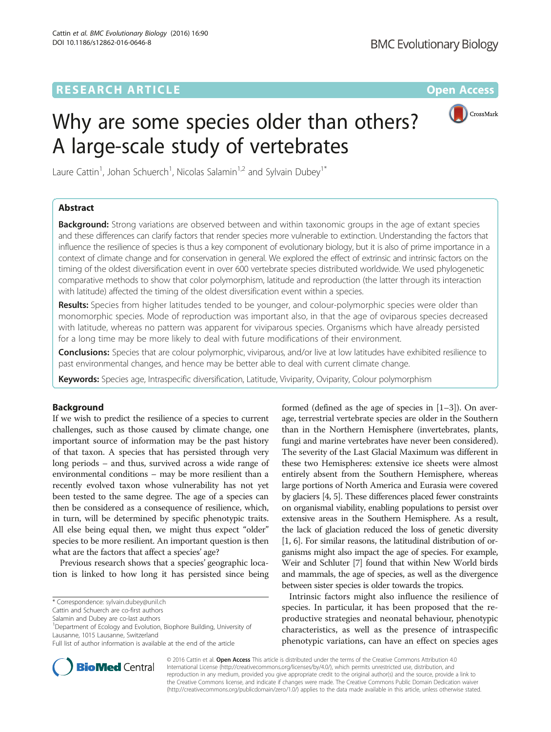# **RESEARCH ARTICLE External Structure Community Community Community Community Community Community Community Community**



# Why are some species older than others? A large-scale study of vertebrates

Laure Cattin<sup>1</sup>, Johan Schuerch<sup>1</sup>, Nicolas Salamin<sup>1,2</sup> and Sylvain Dubey<sup>1\*</sup>

# Abstract

**Background:** Strong variations are observed between and within taxonomic groups in the age of extant species and these differences can clarify factors that render species more vulnerable to extinction. Understanding the factors that influence the resilience of species is thus a key component of evolutionary biology, but it is also of prime importance in a context of climate change and for conservation in general. We explored the effect of extrinsic and intrinsic factors on the timing of the oldest diversification event in over 600 vertebrate species distributed worldwide. We used phylogenetic comparative methods to show that color polymorphism, latitude and reproduction (the latter through its interaction with latitude) affected the timing of the oldest diversification event within a species.

Results: Species from higher latitudes tended to be younger, and colour-polymorphic species were older than monomorphic species. Mode of reproduction was important also, in that the age of oviparous species decreased with latitude, whereas no pattern was apparent for viviparous species. Organisms which have already persisted for a long time may be more likely to deal with future modifications of their environment.

Conclusions: Species that are colour polymorphic, viviparous, and/or live at low latitudes have exhibited resilience to past environmental changes, and hence may be better able to deal with current climate change.

Keywords: Species age, Intraspecific diversification, Latitude, Viviparity, Oviparity, Colour polymorphism

# Background

If we wish to predict the resilience of a species to current challenges, such as those caused by climate change, one important source of information may be the past history of that taxon. A species that has persisted through very long periods – and thus, survived across a wide range of environmental conditions – may be more resilient than a recently evolved taxon whose vulnerability has not yet been tested to the same degree. The age of a species can then be considered as a consequence of resilience, which, in turn, will be determined by specific phenotypic traits. All else being equal then, we might thus expect "older" species to be more resilient. An important question is then what are the factors that affect a species' age?

Previous research shows that a species' geographic location is linked to how long it has persisted since being

<sup>1</sup>Department of Ecology and Evolution, Biophore Building, University of Lausanne, 1015 Lausanne, Switzerland

formed (defined as the age of species in [\[1](#page-4-0)–[3\]](#page-5-0)). On average, terrestrial vertebrate species are older in the Southern than in the Northern Hemisphere (invertebrates, plants, fungi and marine vertebrates have never been considered). The severity of the Last Glacial Maximum was different in these two Hemispheres: extensive ice sheets were almost entirely absent from the Southern Hemisphere, whereas large portions of North America and Eurasia were covered by glaciers [\[4, 5](#page-5-0)]. These differences placed fewer constraints on organismal viability, enabling populations to persist over extensive areas in the Southern Hemisphere. As a result, the lack of glaciation reduced the loss of genetic diversity [[1](#page-4-0), [6](#page-5-0)]. For similar reasons, the latitudinal distribution of organisms might also impact the age of species. For example, Weir and Schluter [\[7](#page-5-0)] found that within New World birds and mammals, the age of species, as well as the divergence between sister species is older towards the tropics.

Intrinsic factors might also influence the resilience of species. In particular, it has been proposed that the reproductive strategies and neonatal behaviour, phenotypic characteristics, as well as the presence of intraspecific phenotypic variations, can have an effect on species ages



© 2016 Cattin et al. Open Access This article is distributed under the terms of the Creative Commons Attribution 4.0 International License [\(http://creativecommons.org/licenses/by/4.0/](http://creativecommons.org/licenses/by/4.0/)), which permits unrestricted use, distribution, and reproduction in any medium, provided you give appropriate credit to the original author(s) and the source, provide a link to the Creative Commons license, and indicate if changes were made. The Creative Commons Public Domain Dedication waiver [\(http://creativecommons.org/publicdomain/zero/1.0/](http://creativecommons.org/publicdomain/zero/1.0/)) applies to the data made available in this article, unless otherwise stated.

<sup>\*</sup> Correspondence: [sylvain.dubey@unil.ch](mailto:sylvain.dubey@unil.ch)

Cattin and Schuerch are co-first authors

Salamin and Dubey are co-last authors

Full list of author information is available at the end of the article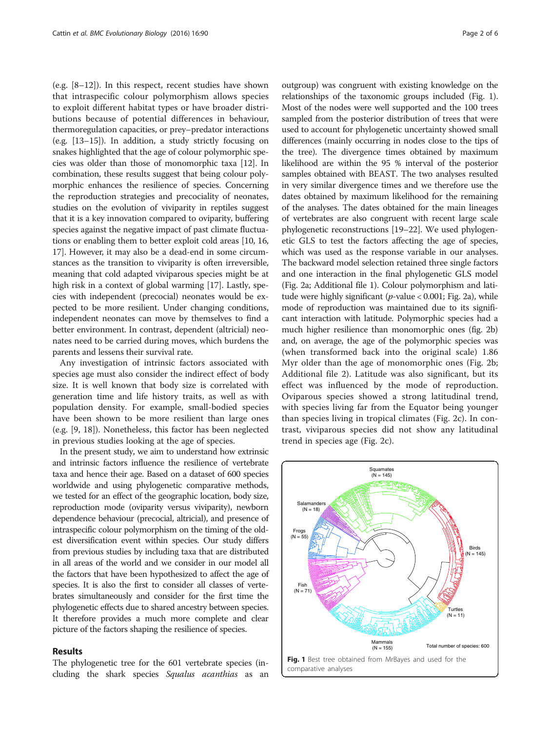<span id="page-1-0"></span>(e.g. [\[8](#page-5-0)–[12\]](#page-5-0)). In this respect, recent studies have shown that intraspecific colour polymorphism allows species to exploit different habitat types or have broader distributions because of potential differences in behaviour, thermoregulation capacities, or prey–predator interactions (e.g. [\[13](#page-5-0)–[15](#page-5-0)]). In addition, a study strictly focusing on snakes highlighted that the age of colour polymorphic species was older than those of monomorphic taxa [\[12\]](#page-5-0). In combination, these results suggest that being colour polymorphic enhances the resilience of species. Concerning the reproduction strategies and precociality of neonates, studies on the evolution of viviparity in reptiles suggest that it is a key innovation compared to oviparity, buffering species against the negative impact of past climate fluctuations or enabling them to better exploit cold areas [\[10, 16](#page-5-0), [17](#page-5-0)]. However, it may also be a dead-end in some circumstances as the transition to viviparity is often irreversible, meaning that cold adapted viviparous species might be at high risk in a context of global warming [[17\]](#page-5-0). Lastly, species with independent (precocial) neonates would be expected to be more resilient. Under changing conditions, independent neonates can move by themselves to find a better environment. In contrast, dependent (altricial) neonates need to be carried during moves, which burdens the parents and lessens their survival rate.

Any investigation of intrinsic factors associated with species age must also consider the indirect effect of body size. It is well known that body size is correlated with generation time and life history traits, as well as with population density. For example, small-bodied species have been shown to be more resilient than large ones (e.g. [[9, 18\]](#page-5-0)). Nonetheless, this factor has been neglected in previous studies looking at the age of species.

In the present study, we aim to understand how extrinsic and intrinsic factors influence the resilience of vertebrate taxa and hence their age. Based on a dataset of 600 species worldwide and using phylogenetic comparative methods, we tested for an effect of the geographic location, body size, reproduction mode (oviparity versus viviparity), newborn dependence behaviour (precocial, altricial), and presence of intraspecific colour polymorphism on the timing of the oldest diversification event within species. Our study differs from previous studies by including taxa that are distributed in all areas of the world and we consider in our model all the factors that have been hypothesized to affect the age of species. It is also the first to consider all classes of vertebrates simultaneously and consider for the first time the phylogenetic effects due to shared ancestry between species. It therefore provides a much more complete and clear picture of the factors shaping the resilience of species.

#### Results

The phylogenetic tree for the 601 vertebrate species (including the shark species Squalus acanthias as an

outgroup) was congruent with existing knowledge on the relationships of the taxonomic groups included (Fig. 1). Most of the nodes were well supported and the 100 trees sampled from the posterior distribution of trees that were used to account for phylogenetic uncertainty showed small differences (mainly occurring in nodes close to the tips of the tree). The divergence times obtained by maximum likelihood are within the 95 % interval of the posterior samples obtained with BEAST. The two analyses resulted in very similar divergence times and we therefore use the dates obtained by maximum likelihood for the remaining of the analyses. The dates obtained for the main lineages of vertebrates are also congruent with recent large scale phylogenetic reconstructions [\[19](#page-5-0)–[22](#page-5-0)]. We used phylogenetic GLS to test the factors affecting the age of species, which was used as the response variable in our analyses. The backward model selection retained three single factors and one interaction in the final phylogenetic GLS model (Fig. [2a](#page-2-0); Additional file [1\)](#page-4-0). Colour polymorphism and latitude were highly significant ( $p$ -value < 0.001; Fig. [2a\)](#page-2-0), while mode of reproduction was maintained due to its significant interaction with latitude. Polymorphic species had a much higher resilience than monomorphic ones (fig. [2b](#page-2-0)) and, on average, the age of the polymorphic species was (when transformed back into the original scale) 1.86 Myr older than the age of monomorphic ones (Fig. [2b](#page-2-0); Additional file [2](#page-4-0)). Latitude was also significant, but its effect was influenced by the mode of reproduction. Oviparous species showed a strong latitudinal trend, with species living far from the Equator being younger than species living in tropical climates (Fig. [2c](#page-2-0)). In contrast, viviparous species did not show any latitudinal trend in species age (Fig. [2c\)](#page-2-0).

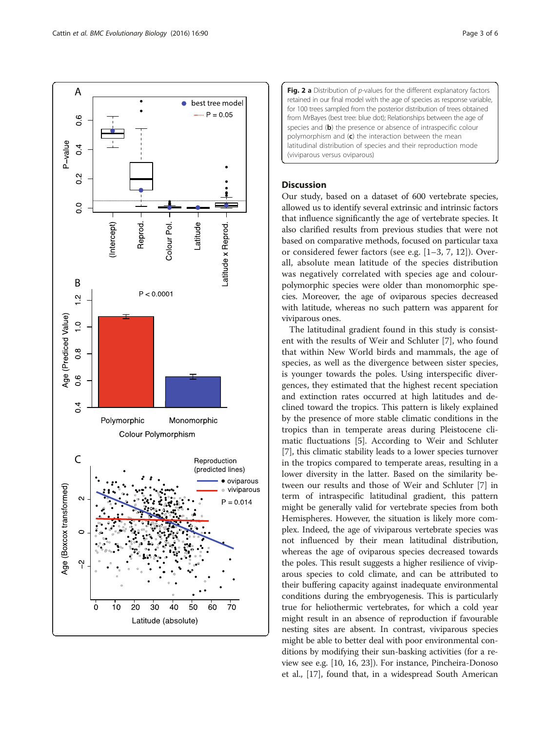<span id="page-2-0"></span>

Fig. 2 a Distribution of  $p$ -values for the different explanatory factors retained in our final model with the age of species as response variable, for 100 trees sampled from the posterior distribution of trees obtained from MrBayes (best tree: blue dot); Relationships between the age of species and (b) the presence or absence of intraspecific colour polymorphism and  $(c)$  the interaction between the mean latitudinal distribution of species and their reproduction mode (viviparous versus oviparous)

#### **Discussion**

Our study, based on a dataset of 600 vertebrate species, allowed us to identify several extrinsic and intrinsic factors that influence significantly the age of vertebrate species. It also clarified results from previous studies that were not based on comparative methods, focused on particular taxa or considered fewer factors (see e.g. [\[1](#page-4-0)–[3](#page-5-0), [7](#page-5-0), [12\]](#page-5-0)). Overall, absolute mean latitude of the species distribution was negatively correlated with species age and colourpolymorphic species were older than monomorphic species. Moreover, the age of oviparous species decreased with latitude, whereas no such pattern was apparent for viviparous ones.

The latitudinal gradient found in this study is consistent with the results of Weir and Schluter [[7\]](#page-5-0), who found that within New World birds and mammals, the age of species, as well as the divergence between sister species, is younger towards the poles. Using interspecific divergences, they estimated that the highest recent speciation and extinction rates occurred at high latitudes and declined toward the tropics. This pattern is likely explained by the presence of more stable climatic conditions in the tropics than in temperate areas during Pleistocene climatic fluctuations [[5](#page-5-0)]. According to Weir and Schluter [[7\]](#page-5-0), this climatic stability leads to a lower species turnover in the tropics compared to temperate areas, resulting in a lower diversity in the latter. Based on the similarity between our results and those of Weir and Schluter [[7\]](#page-5-0) in term of intraspecific latitudinal gradient, this pattern might be generally valid for vertebrate species from both Hemispheres. However, the situation is likely more complex. Indeed, the age of viviparous vertebrate species was not influenced by their mean latitudinal distribution, whereas the age of oviparous species decreased towards the poles. This result suggests a higher resilience of viviparous species to cold climate, and can be attributed to their buffering capacity against inadequate environmental conditions during the embryogenesis. This is particularly true for heliothermic vertebrates, for which a cold year might result in an absence of reproduction if favourable nesting sites are absent. In contrast, viviparous species might be able to better deal with poor environmental conditions by modifying their sun-basking activities (for a review see e.g. [[10](#page-5-0), [16](#page-5-0), [23](#page-5-0)]). For instance, Pincheira-Donoso et al., [\[17\]](#page-5-0), found that, in a widespread South American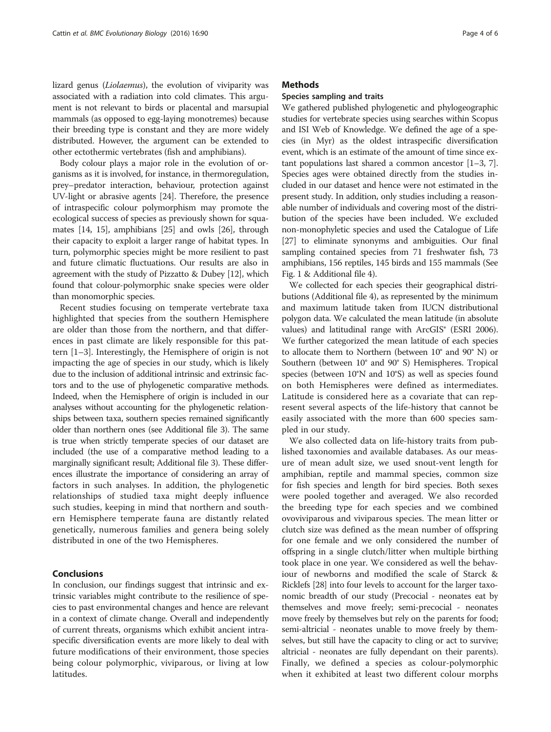lizard genus (Liolaemus), the evolution of viviparity was associated with a radiation into cold climates. This argument is not relevant to birds or placental and marsupial mammals (as opposed to egg-laying monotremes) because their breeding type is constant and they are more widely distributed. However, the argument can be extended to other ectothermic vertebrates (fish and amphibians).

Body colour plays a major role in the evolution of organisms as it is involved, for instance, in thermoregulation, prey–predator interaction, behaviour, protection against UV-light or abrasive agents [[24](#page-5-0)]. Therefore, the presence of intraspecific colour polymorphism may promote the ecological success of species as previously shown for squamates [[14](#page-5-0), [15\]](#page-5-0), amphibians [\[25\]](#page-5-0) and owls [\[26\]](#page-5-0), through their capacity to exploit a larger range of habitat types. In turn, polymorphic species might be more resilient to past and future climatic fluctuations. Our results are also in agreement with the study of Pizzatto & Dubey [[12](#page-5-0)], which found that colour-polymorphic snake species were older than monomorphic species.

Recent studies focusing on temperate vertebrate taxa highlighted that species from the southern Hemisphere are older than those from the northern, and that differences in past climate are likely responsible for this pattern [[1](#page-4-0)–[3](#page-5-0)]. Interestingly, the Hemisphere of origin is not impacting the age of species in our study, which is likely due to the inclusion of additional intrinsic and extrinsic factors and to the use of phylogenetic comparative methods. Indeed, when the Hemisphere of origin is included in our analyses without accounting for the phylogenetic relationships between taxa, southern species remained significantly older than northern ones (see Additional file [3](#page-4-0)). The same is true when strictly temperate species of our dataset are included (the use of a comparative method leading to a marginally significant result; Additional file [3\)](#page-4-0). These differences illustrate the importance of considering an array of factors in such analyses. In addition, the phylogenetic relationships of studied taxa might deeply influence such studies, keeping in mind that northern and southern Hemisphere temperate fauna are distantly related genetically, numerous families and genera being solely distributed in one of the two Hemispheres.

#### Conclusions

In conclusion, our findings suggest that intrinsic and extrinsic variables might contribute to the resilience of species to past environmental changes and hence are relevant in a context of climate change. Overall and independently of current threats, organisms which exhibit ancient intraspecific diversification events are more likely to deal with future modifications of their environment, those species being colour polymorphic, viviparous, or living at low latitudes.

### **Methods**

#### Species sampling and traits

We gathered published phylogenetic and phylogeographic studies for vertebrate species using searches within Scopus and ISI Web of Knowledge. We defined the age of a species (in Myr) as the oldest intraspecific diversification event, which is an estimate of the amount of time since extant populations last shared a common ancestor [[1](#page-4-0)–[3](#page-5-0), [7](#page-5-0)]. Species ages were obtained directly from the studies included in our dataset and hence were not estimated in the present study. In addition, only studies including a reasonable number of individuals and covering most of the distribution of the species have been included. We excluded non-monophyletic species and used the Catalogue of Life [[27](#page-5-0)] to eliminate synonyms and ambiguities. Our final sampling contained species from 71 freshwater fish, 73 amphibians, 156 reptiles, 145 birds and 155 mammals (See Fig. [1](#page-1-0) & Additional file [4](#page-4-0)).

We collected for each species their geographical distributions (Additional file [4](#page-4-0)), as represented by the minimum and maximum latitude taken from IUCN distributional polygon data. We calculated the mean latitude (in absolute values) and latitudinal range with ArcGIS® (ESRI 2006). We further categorized the mean latitude of each species to allocate them to Northern (between 10° and 90° N) or Southern (between 10° and 90° S) Hemispheres. Tropical species (between 10°N and 10°S) as well as species found on both Hemispheres were defined as intermediates. Latitude is considered here as a covariate that can represent several aspects of the life-history that cannot be easily associated with the more than 600 species sampled in our study.

We also collected data on life-history traits from published taxonomies and available databases. As our measure of mean adult size, we used snout-vent length for amphibian, reptile and mammal species, common size for fish species and length for bird species. Both sexes were pooled together and averaged. We also recorded the breeding type for each species and we combined ovoviviparous and viviparous species. The mean litter or clutch size was defined as the mean number of offspring for one female and we only considered the number of offspring in a single clutch/litter when multiple birthing took place in one year. We considered as well the behaviour of newborns and modified the scale of Starck & Ricklefs [\[28\]](#page-5-0) into four levels to account for the larger taxonomic breadth of our study (Precocial - neonates eat by themselves and move freely; semi-precocial - neonates move freely by themselves but rely on the parents for food; semi-altricial - neonates unable to move freely by themselves, but still have the capacity to cling or act to survive; altricial - neonates are fully dependant on their parents). Finally, we defined a species as colour-polymorphic when it exhibited at least two different colour morphs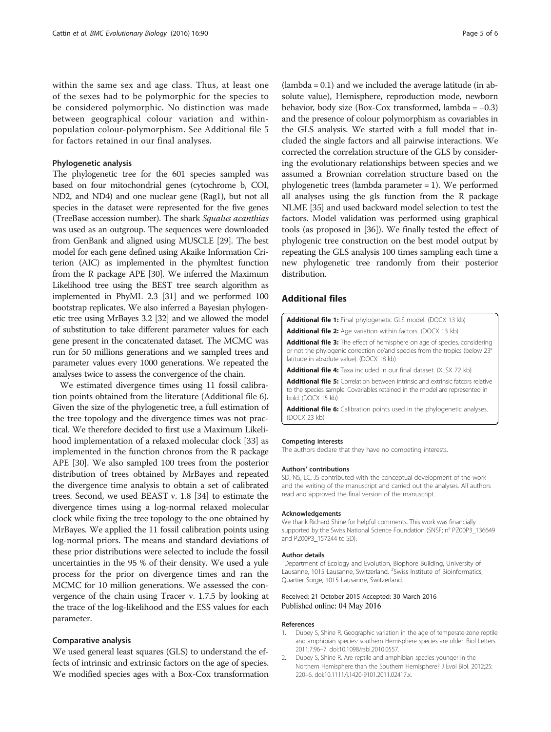<span id="page-4-0"></span>within the same sex and age class. Thus, at least one of the sexes had to be polymorphic for the species to be considered polymorphic. No distinction was made between geographical colour variation and withinpopulation colour-polymorphism. See Additional file 5 for factors retained in our final analyses.

#### Phylogenetic analysis

The phylogenetic tree for the 601 species sampled was based on four mitochondrial genes (cytochrome b, COI, ND2, and ND4) and one nuclear gene (Rag1), but not all species in the dataset were represented for the five genes (TreeBase accession number). The shark Squalus acanthias was used as an outgroup. The sequences were downloaded from GenBank and aligned using MUSCLE [[29\]](#page-5-0). The best model for each gene defined using Akaike Information Criterion (AIC) as implemented in the phymltest function from the R package APE [\[30\]](#page-5-0). We inferred the Maximum Likelihood tree using the BEST tree search algorithm as implemented in PhyML 2.3 [\[31\]](#page-5-0) and we performed 100 bootstrap replicates. We also inferred a Bayesian phylogenetic tree using MrBayes 3.2 [\[32\]](#page-5-0) and we allowed the model of substitution to take different parameter values for each gene present in the concatenated dataset. The MCMC was run for 50 millions generations and we sampled trees and parameter values every 1000 generations. We repeated the analyses twice to assess the convergence of the chain.

We estimated divergence times using 11 fossil calibration points obtained from the literature (Additional file 6). Given the size of the phylogenetic tree, a full estimation of the tree topology and the divergence times was not practical. We therefore decided to first use a Maximum Likelihood implementation of a relaxed molecular clock [[33](#page-5-0)] as implemented in the function chronos from the R package APE [\[30\]](#page-5-0). We also sampled 100 trees from the posterior distribution of trees obtained by MrBayes and repeated the divergence time analysis to obtain a set of calibrated trees. Second, we used BEAST v. 1.8 [\[34\]](#page-5-0) to estimate the divergence times using a log-normal relaxed molecular clock while fixing the tree topology to the one obtained by MrBayes. We applied the 11 fossil calibration points using log-normal priors. The means and standard deviations of these prior distributions were selected to include the fossil uncertainties in the 95 % of their density. We used a yule process for the prior on divergence times and ran the MCMC for 10 million generations. We assessed the convergence of the chain using Tracer v. 1.7.5 by looking at the trace of the log-likelihood and the ESS values for each parameter.

#### Comparative analysis

We used general least squares (GLS) to understand the effects of intrinsic and extrinsic factors on the age of species. We modified species ages with a Box-Cox transformation

(lambda = 0.1) and we included the average latitude (in absolute value), Hemisphere, reproduction mode, newborn behavior, body size (Box-Cox transformed, lambda = −0.3) and the presence of colour polymorphism as covariables in the GLS analysis. We started with a full model that included the single factors and all pairwise interactions. We corrected the correlation structure of the GLS by considering the evolutionary relationships between species and we assumed a Brownian correlation structure based on the phylogenetic trees (lambda parameter = 1). We performed all analyses using the gls function from the R package NLME [[35](#page-5-0)] and used backward model selection to test the factors. Model validation was performed using graphical tools (as proposed in [[36](#page-5-0)]). We finally tested the effect of phylogenic tree construction on the best model output by repeating the GLS analysis 100 times sampling each time a new phylogenetic tree randomly from their posterior distribution.

## Additional files

[Additional file 1:](dx.doi.org/10.1186/s12862-016-0646-8) Final phylogenetic GLS model. (DOCX 13 kb)

[Additional file 2:](dx.doi.org/10.1186/s12862-016-0646-8) Age variation within factors. (DOCX 13 kb)

[Additional file 3:](dx.doi.org/10.1186/s12862-016-0646-8) The effect of hemisphere on age of species, considering or not the phylogenic correction or/and species from the tropics (below 23° latitude in absolute value). (DOCX 18 kb)

dditional file 4: Taxa included in our final dataset. (XLSX 72 kb)

[Additional file 5:](dx.doi.org/10.1186/s12862-016-0646-8) Correlation between intrinsic and extrinsic fatcors relative to the species sample. Covariables retained in the model are represented in bold. (DOCX 15 kb)

[Additional file 6:](dx.doi.org/10.1186/s12862-016-0646-8) Calibration points used in the phylogenetic analyses. (DOCX 23 kb)

#### Competing interests

The authors declare that they have no competing interests.

#### Authors' contributions

SD, NS, LC, JS contributed with the conceptual development of the work and the writing of the manuscript and carried out the analyses. All authors read and approved the final version of the manuscript.

#### Acknowledgements

We thank Richard Shine for helpful comments. This work was financially supported by the Swiss National Science Foundation (SNSF; n° PZ00P3\_136649 and PZ00P3\_157244 to SD).

#### Author details

<sup>1</sup>Department of Ecology and Evolution, Biophore Building, University of Lausanne, 1015 Lausanne, Switzerland. <sup>2</sup>Swiss Institute of Bioinformatics, Quartier Sorge, 1015 Lausanne, Switzerland.

#### Received: 21 October 2015 Accepted: 30 March 2016 Published online: 04 May 2016

#### References

- 1. Dubey S, Shine R. Geographic variation in the age of temperate-zone reptile and amphibian species: southern Hemisphere species are older. Biol Letters. 2011;7:96–7. doi:[10.1098/rsbl.2010.0557](http://dx.doi.org/10.1098/rsbl.2010.0557).
- 2. Dubey S, Shine R. Are reptile and amphibian species younger in the Northern Hemisphere than the Southern Hemisphere? J Evol Biol. 2012;25: 220–6. doi:[10.1111/j.1420-9101.2011.02417.x](http://dx.doi.org/10.1111/j.1420-9101.2011.02417.x).